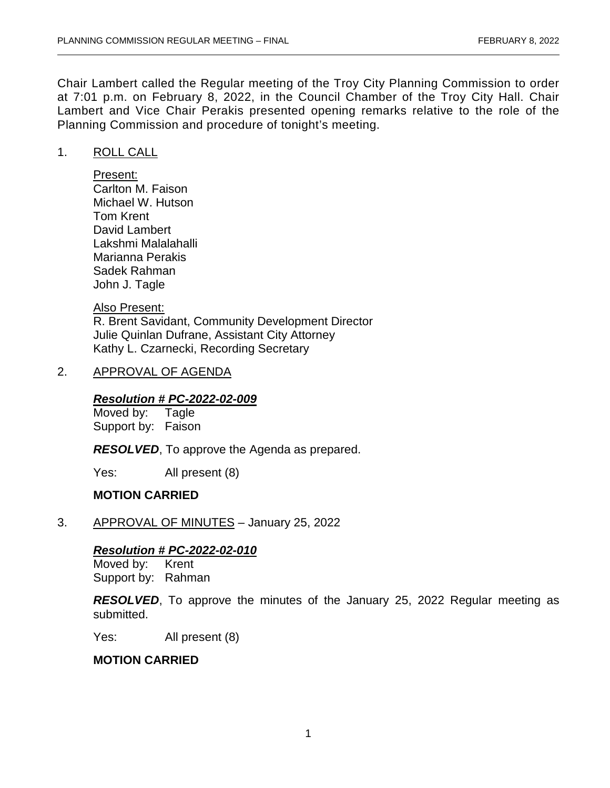Chair Lambert called the Regular meeting of the Troy City Planning Commission to order at 7:01 p.m. on February 8, 2022, in the Council Chamber of the Troy City Hall. Chair Lambert and Vice Chair Perakis presented opening remarks relative to the role of the Planning Commission and procedure of tonight's meeting.

### 1. ROLL CALL

Present: Carlton M. Faison Michael W. Hutson Tom Krent David Lambert Lakshmi Malalahalli Marianna Perakis Sadek Rahman John J. Tagle

Also Present:

R. Brent Savidant, Community Development Director Julie Quinlan Dufrane, Assistant City Attorney Kathy L. Czarnecki, Recording Secretary

### 2. APPROVAL OF AGENDA

### *Resolution # PC-2022-02-009*

Moved by: Tagle Support by: Faison

*RESOLVED*, To approve the Agenda as prepared.

Yes: All present (8)

# **MOTION CARRIED**

3. APPROVAL OF MINUTES – January 25, 2022

# *Resolution # PC-2022-02-010*

Moved by: Support by: Rahman

*RESOLVED*, To approve the minutes of the January 25, 2022 Regular meeting as submitted.

Yes: All present (8)

### **MOTION CARRIED**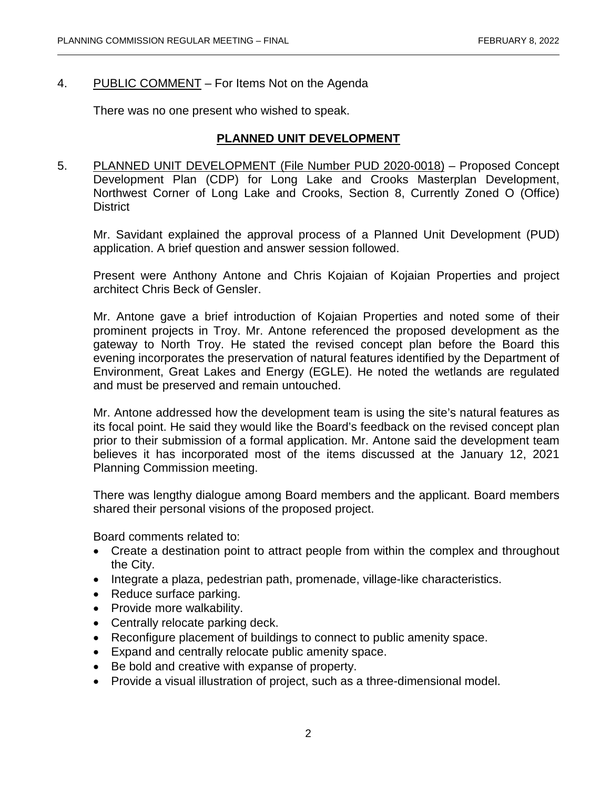## 4. PUBLIC COMMENT – For Items Not on the Agenda

There was no one present who wished to speak.

# **PLANNED UNIT DEVELOPMENT**

5. PLANNED UNIT DEVELOPMENT (File Number PUD 2020-0018) – Proposed Concept Development Plan (CDP) for Long Lake and Crooks Masterplan Development, Northwest Corner of Long Lake and Crooks, Section 8, Currently Zoned O (Office) District

Mr. Savidant explained the approval process of a Planned Unit Development (PUD) application. A brief question and answer session followed.

Present were Anthony Antone and Chris Kojaian of Kojaian Properties and project architect Chris Beck of Gensler.

Mr. Antone gave a brief introduction of Kojaian Properties and noted some of their prominent projects in Troy. Mr. Antone referenced the proposed development as the gateway to North Troy. He stated the revised concept plan before the Board this evening incorporates the preservation of natural features identified by the Department of Environment, Great Lakes and Energy (EGLE). He noted the wetlands are regulated and must be preserved and remain untouched.

Mr. Antone addressed how the development team is using the site's natural features as its focal point. He said they would like the Board's feedback on the revised concept plan prior to their submission of a formal application. Mr. Antone said the development team believes it has incorporated most of the items discussed at the January 12, 2021 Planning Commission meeting.

There was lengthy dialogue among Board members and the applicant. Board members shared their personal visions of the proposed project.

Board comments related to:

- Create a destination point to attract people from within the complex and throughout the City.
- Integrate a plaza, pedestrian path, promenade, village-like characteristics.
- Reduce surface parking.
- Provide more walkability.
- Centrally relocate parking deck.
- Reconfigure placement of buildings to connect to public amenity space.
- Expand and centrally relocate public amenity space.
- Be bold and creative with expanse of property.
- Provide a visual illustration of project, such as a three-dimensional model.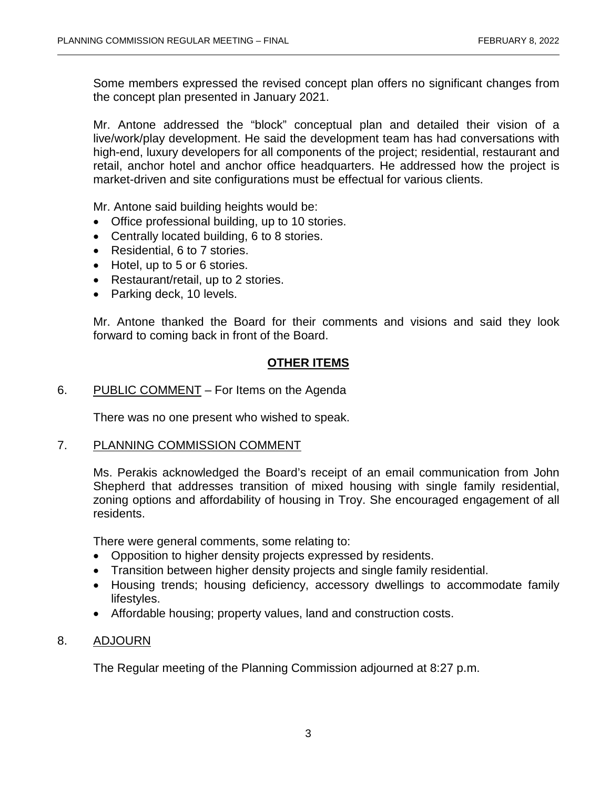Some members expressed the revised concept plan offers no significant changes from the concept plan presented in January 2021.

Mr. Antone addressed the "block" conceptual plan and detailed their vision of a live/work/play development. He said the development team has had conversations with high-end, luxury developers for all components of the project; residential, restaurant and retail, anchor hotel and anchor office headquarters. He addressed how the project is market-driven and site configurations must be effectual for various clients.

Mr. Antone said building heights would be:

- Office professional building, up to 10 stories.
- Centrally located building, 6 to 8 stories.
- Residential, 6 to 7 stories.
- Hotel, up to 5 or 6 stories.
- Restaurant/retail, up to 2 stories.
- Parking deck, 10 levels.

Mr. Antone thanked the Board for their comments and visions and said they look forward to coming back in front of the Board.

# **OTHER ITEMS**

# 6. PUBLIC COMMENT – For Items on the Agenda

There was no one present who wished to speak.

### 7. PLANNING COMMISSION COMMENT

Ms. Perakis acknowledged the Board's receipt of an email communication from John Shepherd that addresses transition of mixed housing with single family residential, zoning options and affordability of housing in Troy. She encouraged engagement of all residents.

There were general comments, some relating to:

- Opposition to higher density projects expressed by residents.
- Transition between higher density projects and single family residential.
- Housing trends; housing deficiency, accessory dwellings to accommodate family lifestyles.
- Affordable housing; property values, land and construction costs.

# 8. ADJOURN

The Regular meeting of the Planning Commission adjourned at 8:27 p.m.